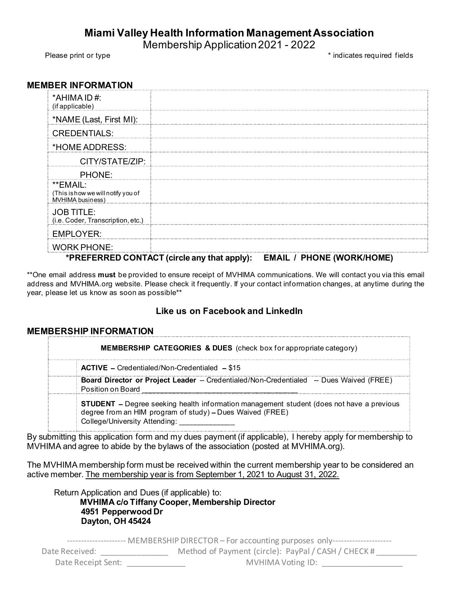# Miami Valley Health Information Management Association **y Health Information Management Association**<br>Membership Application 2021 - 2022<br>Andicates required fields<br>And the matter of the matter of the matter of the matter of the matter of the matter of the matter of the matter of

Please print or type the state of the state of the state of the state of the state of the state of the state of the state of the state of the state of the state of the state of the state of the state of the state of the st

### MEMBER INFORMATION

| *AHIMA ID#:<br>(if applicable)                                                                                                                                                                                                                                                                              |  |
|-------------------------------------------------------------------------------------------------------------------------------------------------------------------------------------------------------------------------------------------------------------------------------------------------------------|--|
| *NAME (Last, First MI):                                                                                                                                                                                                                                                                                     |  |
| <b>CREDENTIALS:</b>                                                                                                                                                                                                                                                                                         |  |
| *HOME ADDRESS:                                                                                                                                                                                                                                                                                              |  |
| CITY/STATE/ZIP:                                                                                                                                                                                                                                                                                             |  |
| PHONE:                                                                                                                                                                                                                                                                                                      |  |
| **EMAIL:<br>(This ishow we will notify you of<br>MVHIMA business)                                                                                                                                                                                                                                           |  |
| <b>JOB TITLE:</b><br>(i.e. Coder, Transcription, etc.)                                                                                                                                                                                                                                                      |  |
| <b>EMPLOYER:</b>                                                                                                                                                                                                                                                                                            |  |
| <b>WORK PHONE:</b>                                                                                                                                                                                                                                                                                          |  |
| *PREFERRED CONTACT (circle any that apply): EMAIL / PHONE (WORK/HOME)<br>email address must be provided to ensure receipt of MVHIMA communications. We will contact you via this email<br>ss and MVHIMA.org website. Please check it frequently. If your contact information changes, at anytime during the |  |
| blease let us know as soon as possible**                                                                                                                                                                                                                                                                    |  |
| Like us on Facebook and LinkedIn                                                                                                                                                                                                                                                                            |  |
|                                                                                                                                                                                                                                                                                                             |  |
| <b>BERSHIP INFORMATION</b>                                                                                                                                                                                                                                                                                  |  |
| <b>MEMBERSHIP CATEGORIES &amp; DUES</b> (check box for appropriate category)                                                                                                                                                                                                                                |  |
| ACTIVE - Credentialed/Non-Credentialed - \$15                                                                                                                                                                                                                                                               |  |
| Board Director or Project Leader -- Credentialed/Non-Credentialed -- Dues Waived (FREE)<br><b>Position on Board</b>                                                                                                                                                                                         |  |

## \*PREFERRED CONTACT (circle any that apply): EMAIL / PHONE (WORK/HOME)

\*\*One email address must be provided to ensure receipt of MVHIMA communications. We will contact you via this email address and MVHIMA.org website. Please check it frequently. If your contact information changes, at anytime during the year, please let us know as soon as possible\*\*

## Like us on Facebook and LinkedIn

## MEMBERSHIP INFORMATION

By submitting this application form and my dues payment (if applicable), I hereby apply for membership to MVHIMA and agree to abide by the bylaws of the association (posted at MVHIMA.org).

The MVHIMA membership form must be received within the current membership year to be considered an active member. The membership year is from September 1, 2021 to August 31, 2022.

Return Application and Dues (if applicable) to: MVHIMA c/o Tiffany Cooper, Membership Director 4951 Pepperwood Dr Dayton, OH 45424

--------------------- MEMBERSHIP DIRECTOR - For accounting purposes only--------------------Date Received: \_\_\_\_\_\_\_\_\_\_\_\_\_\_\_\_\_\_\_ Method of Payment (circle): PayPal / CASH / CHECK # Date Receipt Sent: \_\_\_\_\_\_\_\_\_\_\_\_\_ MVHIMA Voting ID: \_\_\_\_\_\_\_\_\_\_\_\_\_\_\_\_\_\_